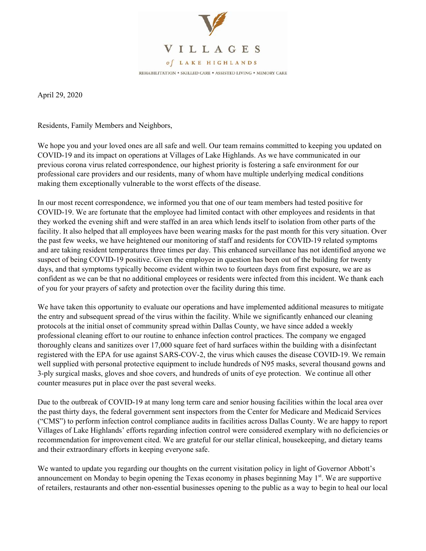

April 29, 2020

Residents, Family Members and Neighbors,

We hope you and your loved ones are all safe and well. Our team remains committed to keeping you updated on COVID-19 and its impact on operations at Villages of Lake Highlands. As we have communicated in our previous corona virus related correspondence, our highest priority is fostering a safe environment for our professional care providers and our residents, many of whom have multiple underlying medical conditions making them exceptionally vulnerable to the worst effects of the disease.

In our most recent correspondence, we informed you that one of our team members had tested positive for COVID-19. We are fortunate that the employee had limited contact with other employees and residents in that they worked the evening shift and were staffed in an area which lends itself to isolation from other parts of the facility. It also helped that all employees have been wearing masks for the past month for this very situation. Over the past few weeks, we have heightened our monitoring of staff and residents for COVID-19 related symptoms and are taking resident temperatures three times per day. This enhanced surveillance has not identified anyone we suspect of being COVID-19 positive. Given the employee in question has been out of the building for twenty days, and that symptoms typically become evident within two to fourteen days from first exposure, we are as confident as we can be that no additional employees or residents were infected from this incident. We thank each of you for your prayers of safety and protection over the facility during this time.

We have taken this opportunity to evaluate our operations and have implemented additional measures to mitigate the entry and subsequent spread of the virus within the facility. While we significantly enhanced our cleaning protocols at the initial onset of community spread within Dallas County, we have since added a weekly professional cleaning effort to our routine to enhance infection control practices. The company we engaged thoroughly cleans and sanitizes over 17,000 square feet of hard surfaces within the building with a disinfectant registered with the EPA for use against SARS-COV-2, the virus which causes the disease COVID-19. We remain well supplied with personal protective equipment to include hundreds of N95 masks, several thousand gowns and 3-ply surgical masks, gloves and shoe covers, and hundreds of units of eye protection. We continue all other counter measures put in place over the past several weeks.

Due to the outbreak of COVID-19 at many long term care and senior housing facilities within the local area over the past thirty days, the federal government sent inspectors from the Center for Medicare and Medicaid Services ("CMS") to perform infection control compliance audits in facilities across Dallas County. We are happy to report Villages of Lake Highlands' efforts regarding infection control were considered exemplary with no deficiencies or recommendation for improvement cited. We are grateful for our stellar clinical, housekeeping, and dietary teams and their extraordinary efforts in keeping everyone safe.

We wanted to update you regarding our thoughts on the current visitation policy in light of Governor Abbott's announcement on Monday to begin opening the Texas economy in phases beginning May 1<sup>st</sup>. We are supportive of retailers, restaurants and other non-essential businesses opening to the public as a way to begin to heal our local